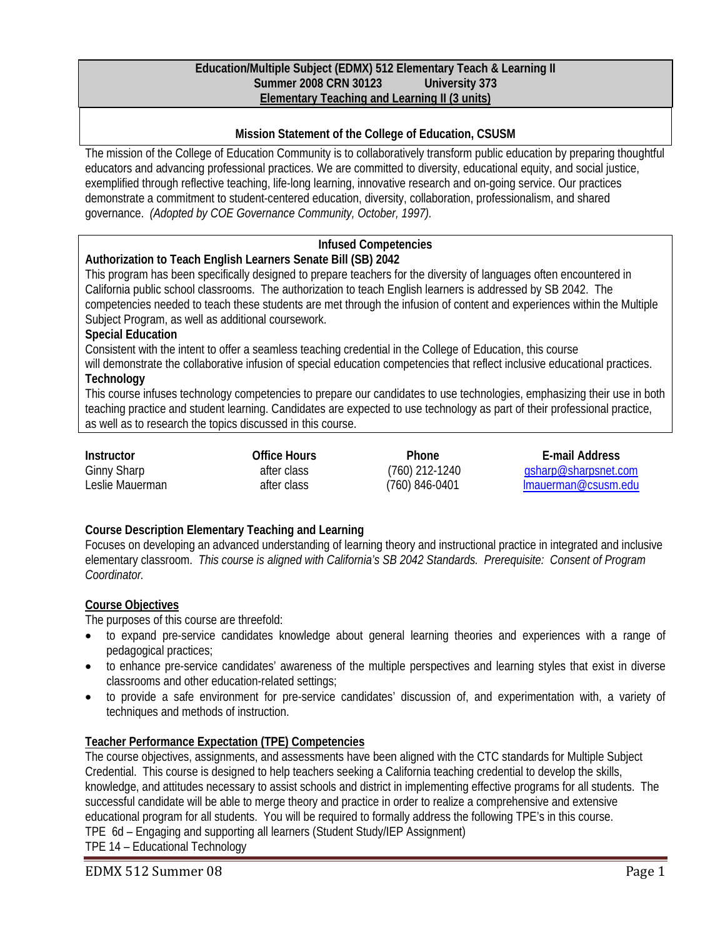#### **Education/Multiple Subject (EDMX) 512 Elementary Teach & Learning II Summer 2008 CRN 30123 University 373 Elementary Teaching and Learning II (3 units)**

## **Mission Statement of the College of Education, CSUSM**

The mission of the College of Education Community is to collaboratively transform public education by preparing thoughtful educators and advancing professional practices. We are committed to diversity, educational equity, and social justice, exemplified through reflective teaching, life-long learning, innovative research and on-going service. Our practices demonstrate a commitment to student-centered education, diversity, collaboration, professionalism, and shared governance. *(Adopted by COE Governance Community, October, 1997).* 

## **Infused Competencies**

## **Authorization to Teach English Learners Senate Bill (SB) 2042**

This program has been specifically designed to prepare teachers for the diversity of languages often encountered in California public school classrooms. The authorization to teach English learners is addressed by SB 2042. The competencies needed to teach these students are met through the infusion of content and experiences within the Multiple Subject Program, as well as additional coursework.

#### **Special Education**

Consistent with the intent to offer a seamless teaching credential in the College of Education, this course

will demonstrate the collaborative infusion of special education competencies that reflect inclusive educational practices. **Technology** 

This course infuses technology competencies to prepare our candidates to use technologies, emphasizing their use in both teaching practice and student learning. Candidates are expected to use technology as part of their professional practice, as well as to research the topics discussed in this course.

| Instructor         | Office Hours | <b>Phone</b>     | E-mail Address       |
|--------------------|--------------|------------------|----------------------|
| <b>Ginny Sharp</b> | after class  | $(760)$ 212-1240 | asharp@sharpsnet.com |
| Leslie Mauerman    | after class  | (760) 846-0401   | Imauerman@csusm.edu  |

## **Course Description Elementary Teaching and Learning**

Focuses on developing an advanced understanding of learning theory and instructional practice in integrated and inclusive elementary classroom. *This course is aligned with California's SB 2042 Standards. Prerequisite: Consent of Program Coordinator.* 

## **Course Objectives**

The purposes of this course are threefold:

- to expand pre-service candidates knowledge about general learning theories and experiences with a range of pedagogical practices;
- to enhance pre-service candidates' awareness of the multiple perspectives and learning styles that exist in diverse classrooms and other education-related settings;
- to provide a safe environment for pre-service candidates' discussion of, and experimentation with, a variety of techniques and methods of instruction.

## **Teacher Performance Expectation (TPE) Competencies**

The course objectives, assignments, and assessments have been aligned with the CTC standards for Multiple Subject Credential. This course is designed to help teachers seeking a California teaching credential to develop the skills, knowledge, and attitudes necessary to assist schools and district in implementing effective programs for all students. The successful candidate will be able to merge theory and practice in order to realize a comprehensive and extensive educational program for all students. You will be required to formally address the following TPE's in this course. TPE 6d – Engaging and supporting all learners (Student Study/IEP Assignment)

TPE 14 – Educational Technology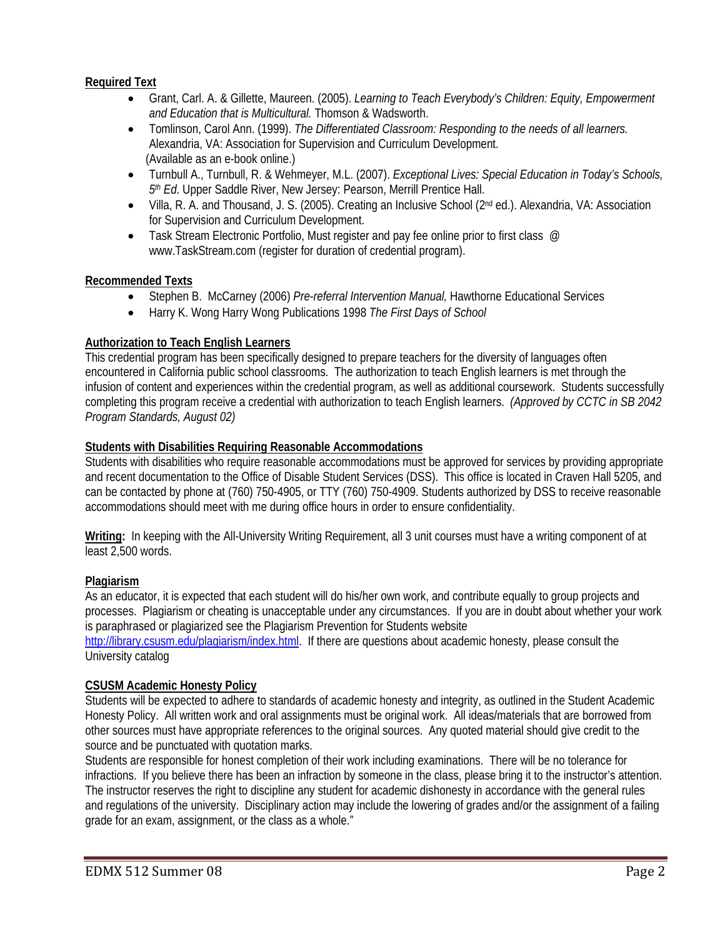## **Required Text**

- Grant, Carl. A. & Gillette, Maureen. (2005). *Learning to Teach Everybody's Children: Equity, Empowerment and Education that is Multicultural.* Thomson & Wadsworth.
- Tomlinson, Carol Ann. (1999). *The Differentiated Classroom: Responding to the needs of all learners.*  Alexandria, VA: Association for Supervision and Curriculum Development. (Available as an e-book online.)
- Turnbull A., Turnbull, R. & Wehmeyer, M.L. (2007). *Exceptional Lives: Special Education in Today's Schools, 5th Ed*. Upper Saddle River, New Jersey: Pearson, Merrill Prentice Hall.
- Villa, R. A. and Thousand, J. S. (2005). Creating an Inclusive School (2<sup>nd</sup> ed.). Alexandria, VA: Association for Supervision and Curriculum Development.
- Task Stream Electronic Portfolio, Must register and pay fee online prior to first class  $\oslash$ www.TaskStream.com (register for duration of credential program).

#### **Recommended Texts**

- Stephen B. McCarney (2006) *Pre-referral Intervention Manual,* Hawthorne Educational Services
- Harry K. Wong Harry Wong Publications 1998 *The First Days of School*

## **Authorization to Teach English Learners**

This credential program has been specifically designed to prepare teachers for the diversity of languages often encountered in California public school classrooms. The authorization to teach English learners is met through the infusion of content and experiences within the credential program, as well as additional coursework. Students successfully completing this program receive a credential with authorization to teach English learners. *(Approved by CCTC in SB 2042 Program Standards, August 02)*

#### **Students with Disabilities Requiring Reasonable Accommodations**

Students with disabilities who require reasonable accommodations must be approved for services by providing appropriate and recent documentation to the Office of Disable Student Services (DSS). This office is located in Craven Hall 5205, and can be contacted by phone at (760) 750-4905, or TTY (760) 750-4909. Students authorized by DSS to receive reasonable accommodations should meet with me during office hours in order to ensure confidentiality.

**Writing:** In keeping with the All-University Writing Requirement, all 3 unit courses must have a writing component of at least 2,500 words.

#### **Plagiarism**

As an educator, it is expected that each student will do his/her own work, and contribute equally to group projects and processes. Plagiarism or cheating is unacceptable under any circumstances. If you are in doubt about whether your work is paraphrased or plagiarized see the Plagiarism Prevention for Students website

http://library.csusm.edu/plagiarism/index.html. If there are questions about academic honesty, please consult the University catalog

#### **CSUSM Academic Honesty Policy**

Students will be expected to adhere to standards of academic honesty and integrity, as outlined in the Student Academic Honesty Policy. All written work and oral assignments must be original work. All ideas/materials that are borrowed from other sources must have appropriate references to the original sources. Any quoted material should give credit to the source and be punctuated with quotation marks.

Students are responsible for honest completion of their work including examinations. There will be no tolerance for infractions. If you believe there has been an infraction by someone in the class, please bring it to the instructor's attention. The instructor reserves the right to discipline any student for academic dishonesty in accordance with the general rules and regulations of the university. Disciplinary action may include the lowering of grades and/or the assignment of a failing grade for an exam, assignment, or the class as a whole."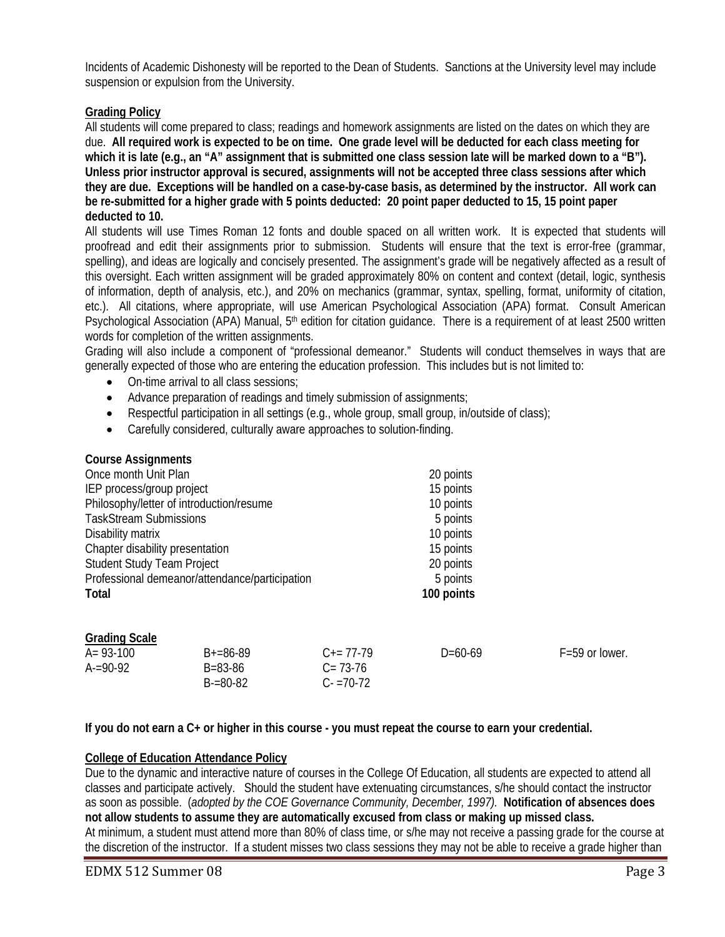Incidents of Academic Dishonesty will be reported to the Dean of Students. Sanctions at the University level may include suspension or expulsion from the University.

#### **Grading Policy**

All students will come prepared to class; readings and homework assignments are listed on the dates on which they are due. **All required work is expected to be on time. One grade level will be deducted for each class meeting for**  which it is late (e.g., an "A" assignment that is submitted one class session late will be marked down to a "B"). **Unless prior instructor approval is secured, assignments will not be accepted three class sessions after which they are due. Exceptions will be handled on a case-by-case basis, as determined by the instructor. All work can be re-submitted for a higher grade with 5 points deducted: 20 point paper deducted to 15, 15 point paper deducted to 10.** 

All students will use Times Roman 12 fonts and double spaced on all written work. It is expected that students will proofread and edit their assignments prior to submission. Students will ensure that the text is error-free (grammar, spelling), and ideas are logically and concisely presented. The assignment's grade will be negatively affected as a result of this oversight. Each written assignment will be graded approximately 80% on content and context (detail, logic, synthesis of information, depth of analysis, etc.), and 20% on mechanics (grammar, syntax, spelling, format, uniformity of citation, etc.). All citations, where appropriate, will use American Psychological Association (APA) format. Consult American Psychological Association (APA) Manual, 5<sup>th</sup> edition for citation guidance. There is a requirement of at least 2500 written words for completion of the written assignments.

Grading will also include a component of "professional demeanor." Students will conduct themselves in ways that are generally expected of those who are entering the education profession. This includes but is not limited to:

- On-time arrival to all class sessions;
- Advance preparation of readings and timely submission of assignments;
- Respectful participation in all settings (e.g., whole group, small group, in/outside of class);
- Carefully considered, culturally aware approaches to solution-finding.

#### **Course Assignments**

| Once month Unit Plan                           | 20 points  |
|------------------------------------------------|------------|
| IEP process/group project                      | 15 points  |
| Philosophy/letter of introduction/resume       | 10 points  |
| <b>TaskStream Submissions</b>                  | 5 points   |
| Disability matrix                              | 10 points  |
| Chapter disability presentation                | 15 points  |
| <b>Student Study Team Project</b>              | 20 points  |
| Professional demeanor/attendance/participation | 5 points   |
| Total                                          | 100 points |
|                                                |            |
| Crading Seala                                  |            |

| <b>Grading Scale</b> |               |                     |           |                    |
|----------------------|---------------|---------------------|-----------|--------------------|
| $A = 93 - 100$       | $B+=86-89$    | $C_{\pm} = 77 - 79$ | $D=60-69$ | $F = 59$ or lower. |
| $A = 90-92$          | B=83-86       | $C = 73-76$         |           |                    |
|                      | $B = 80 - 82$ | $C - 70 - 72$       |           |                    |

**If you do not earn a C+ or higher in this course - you must repeat the course to earn your credential.** 

#### **College of Education Attendance Policy**

Due to the dynamic and interactive nature of courses in the College Of Education, all students are expected to attend all classes and participate actively. Should the student have extenuating circumstances, s/he should contact the instructor as soon as possible. (*adopted by the COE Governance Community, December, 1997).* **Notification of absences does not allow students to assume they are automatically excused from class or making up missed class.**  At minimum, a student must attend more than 80% of class time, or s/he may not receive a passing grade for the course at the discretion of the instructor. If a student misses two class sessions they may not be able to receive a grade higher than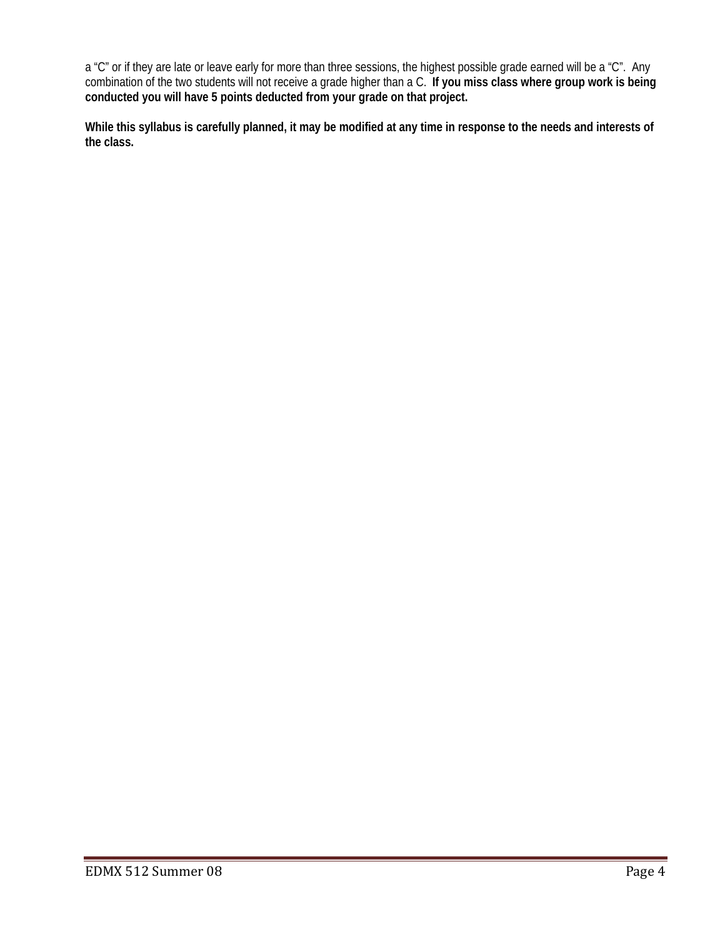a "C" or if they are late or leave early for more than three sessions, the highest possible grade earned will be a "C". Any combination of the two students will not receive a grade higher than a C. **If you miss class where group work is being conducted you will have 5 points deducted from your grade on that project.**

**While this syllabus is carefully planned, it may be modified at any time in response to the needs and interests of the class.**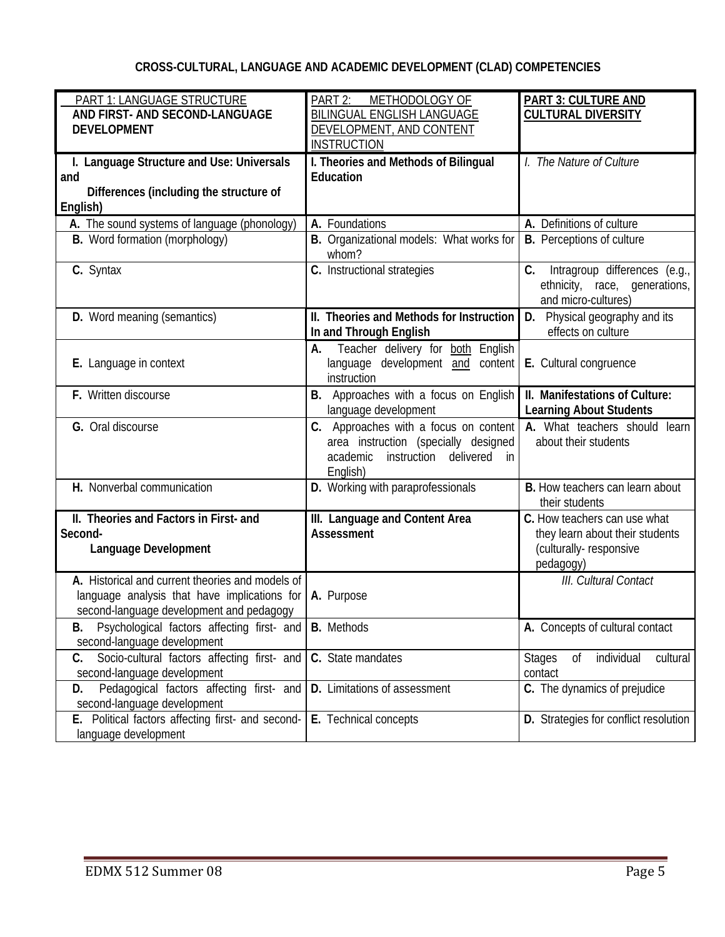# **CROSS-CULTURAL, LANGUAGE AND ACADEMIC DEVELOPMENT (CLAD) COMPETENCIES**

| PART 1: LANGUAGE STRUCTURE<br>AND FIRST- AND SECOND-LANGUAGE<br><b>DEVELOPMENT</b>                                                           | PART 2:<br>METHODOLOGY OF<br><b>BILINGUAL ENGLISH LANGUAGE</b><br>DEVELOPMENT, AND CONTENT                                              | <b>PART 3: CULTURE AND</b><br><b>CULTURAL DIVERSITY</b>                                                |
|----------------------------------------------------------------------------------------------------------------------------------------------|-----------------------------------------------------------------------------------------------------------------------------------------|--------------------------------------------------------------------------------------------------------|
| I. Language Structure and Use: Universals<br>and<br>Differences (including the structure of<br>English)                                      | <b>INSTRUCTION</b><br>I. Theories and Methods of Bilingual<br>Education                                                                 | I. The Nature of Culture                                                                               |
| A. The sound systems of language (phonology)                                                                                                 | A. Foundations                                                                                                                          | A. Definitions of culture                                                                              |
| B. Word formation (morphology)                                                                                                               | B. Organizational models: What works for<br>whom?                                                                                       | <b>B.</b> Perceptions of culture                                                                       |
| C. Syntax                                                                                                                                    | C. Instructional strategies                                                                                                             | Intragroup differences (e.g.,<br>C.<br>ethnicity, race, generations,<br>and micro-cultures)            |
| D. Word meaning (semantics)                                                                                                                  | II. Theories and Methods for Instruction<br>In and Through English                                                                      | D. Physical geography and its<br>effects on culture                                                    |
| E. Language in context                                                                                                                       | Teacher delivery for both English<br>А.<br>language development and content<br>instruction                                              | E. Cultural congruence                                                                                 |
| F. Written discourse                                                                                                                         | Approaches with a focus on English<br>В.<br>language development                                                                        | II. Manifestations of Culture:<br><b>Learning About Students</b>                                       |
| G. Oral discourse                                                                                                                            | C. Approaches with a focus on content<br>area instruction (specially designed<br>delivered<br>instruction<br>academic<br>in<br>English) | A. What teachers should learn<br>about their students                                                  |
| H. Nonverbal communication                                                                                                                   | D. Working with paraprofessionals                                                                                                       | <b>B.</b> How teachers can learn about<br>their students                                               |
| II. Theories and Factors in First- and<br>Second-<br>Language Development                                                                    | III. Language and Content Area<br><b>Assessment</b>                                                                                     | C. How teachers can use what<br>they learn about their students<br>(culturally-responsive<br>pedagogy) |
| A. Historical and current theories and models of<br>language analysis that have implications for<br>second-language development and pedagogy | A. Purpose                                                                                                                              | III. Cultural Contact                                                                                  |
| Psychological factors affecting first- and   B. Methods<br>В.<br>second-language development                                                 |                                                                                                                                         | A. Concepts of cultural contact                                                                        |
| Socio-cultural factors affecting first- and<br>C.<br>second-language development                                                             | C. State mandates                                                                                                                       | individual<br>cultural<br><b>Stages</b><br>0f<br>contact                                               |
| Pedagogical factors affecting first- and<br>D.<br>second-language development                                                                | D. Limitations of assessment                                                                                                            | C. The dynamics of prejudice                                                                           |
| E. Political factors affecting first- and second-<br>language development                                                                    | E. Technical concepts                                                                                                                   | D. Strategies for conflict resolution                                                                  |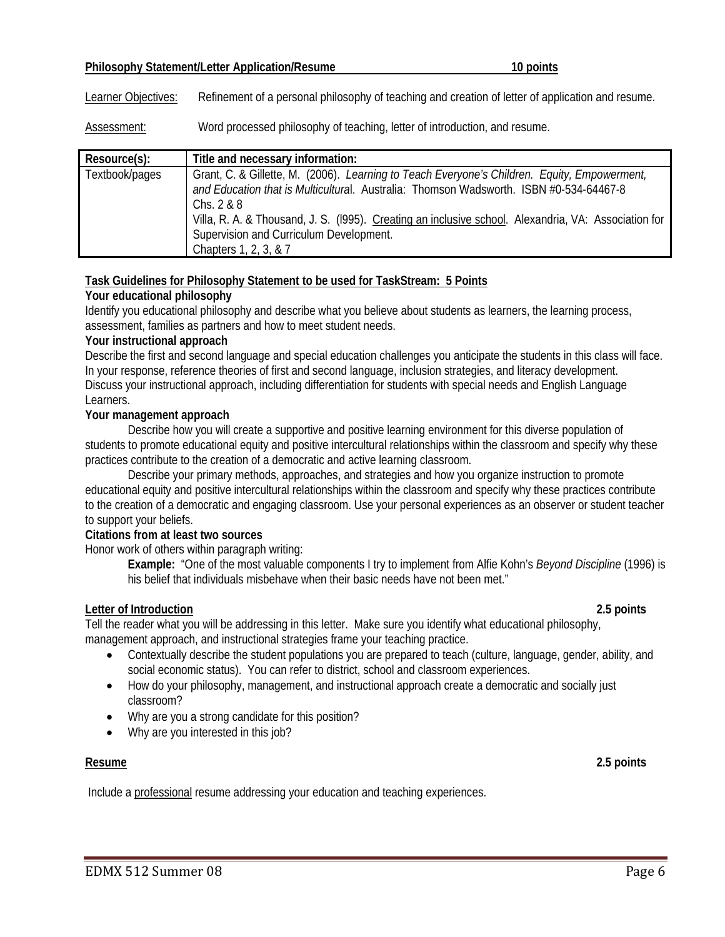#### **Philosophy Statement/Letter Application/Resume 10 points**

Learner Objectives: Refinement of a personal philosophy of teaching and creation of letter of application and resume.

Assessment: Word processed philosophy of teaching, letter of introduction, and resume.

| Resource(s):   | Title and necessary information:                                                                                                                                                                                                                                                                                                                                                   |
|----------------|------------------------------------------------------------------------------------------------------------------------------------------------------------------------------------------------------------------------------------------------------------------------------------------------------------------------------------------------------------------------------------|
| Textbook/pages | Grant, C. & Gillette, M. (2006). Learning to Teach Everyone's Children. Equity, Empowerment,<br>and Education that is Multicultural. Australia: Thomson Wadsworth. ISBN #0-534-64467-8<br>Chs. $2 & 8$<br>Villa, R. A. & Thousand, J. S. (1995). Creating an inclusive school. Alexandria, VA: Association for<br>Supervision and Curriculum Development.<br>Chapters 1, 2, 3, & 7 |

## **Task Guidelines for Philosophy Statement to be used for TaskStream: 5 Points**

## **Your educational philosophy**

Identify you educational philosophy and describe what you believe about students as learners, the learning process, assessment, families as partners and how to meet student needs.

#### **Your instructional approach**

Describe the first and second language and special education challenges you anticipate the students in this class will face. In your response, reference theories of first and second language, inclusion strategies, and literacy development. Discuss your instructional approach, including differentiation for students with special needs and English Language Learners.

## **Your management approach**

Describe how you will create a supportive and positive learning environment for this diverse population of students to promote educational equity and positive intercultural relationships within the classroom and specify why these practices contribute to the creation of a democratic and active learning classroom.

Describe your primary methods, approaches, and strategies and how you organize instruction to promote educational equity and positive intercultural relationships within the classroom and specify why these practices contribute to the creation of a democratic and engaging classroom. Use your personal experiences as an observer or student teacher to support your beliefs.

#### **Citations from at least two sources**

Honor work of others within paragraph writing:

**Example:** "One of the most valuable components I try to implement from Alfie Kohn's *Beyond Discipline* (1996) is his belief that individuals misbehave when their basic needs have not been met."

#### **Letter of Introduction 2.5 points**

Tell the reader what you will be addressing in this letter. Make sure you identify what educational philosophy, management approach, and instructional strategies frame your teaching practice.

- Contextually describe the student populations you are prepared to teach (culture, language, gender, ability, and social economic status). You can refer to district, school and classroom experiences.
- How do your philosophy, management, and instructional approach create a democratic and socially just classroom?
- Why are you a strong candidate for this position?
- Why are you interested in this job?

**Resume 2.5 points**

Include a professional resume addressing your education and teaching experiences.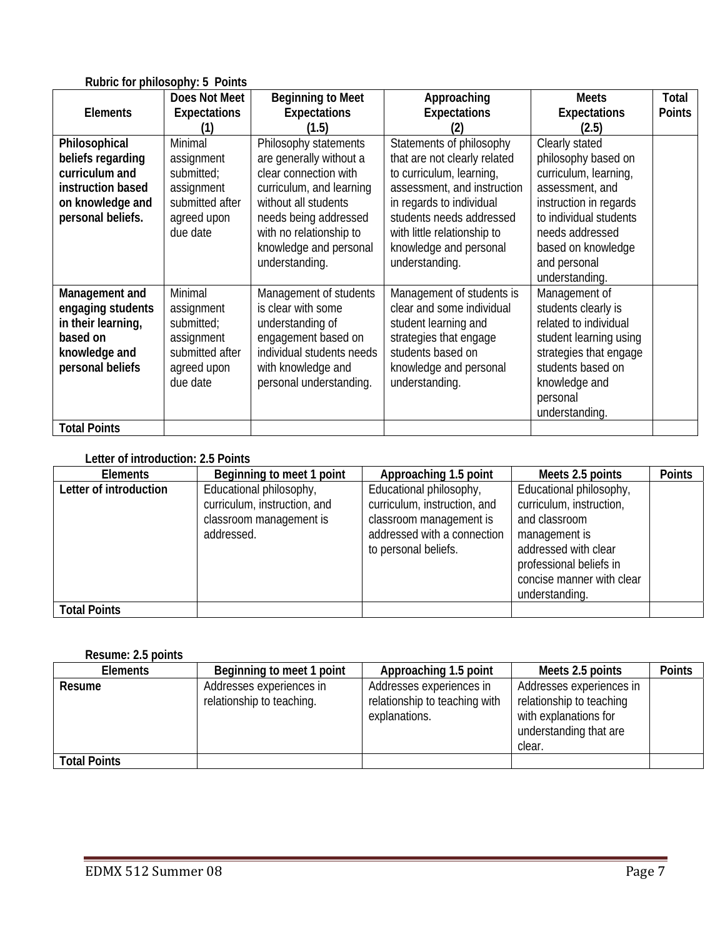|                     | $1.90110101$ princes opiny. $0.101100$ |                           |                              |                        |               |
|---------------------|----------------------------------------|---------------------------|------------------------------|------------------------|---------------|
|                     | Does Not Meet                          | <b>Beginning to Meet</b>  | Approaching                  | <b>Meets</b>           | Total         |
| <b>Elements</b>     | <b>Expectations</b>                    | <b>Expectations</b>       | <b>Expectations</b>          | <b>Expectations</b>    | <b>Points</b> |
|                     |                                        | (1.5)                     |                              | (2.5)                  |               |
| Philosophical       | <b>Minimal</b>                         | Philosophy statements     | Statements of philosophy     | Clearly stated         |               |
| beliefs regarding   | assignment                             | are generally without a   | that are not clearly related | philosophy based on    |               |
| curriculum and      | submitted;                             | clear connection with     | to curriculum, learning,     | curriculum, learning,  |               |
| instruction based   | assignment                             | curriculum, and learning  | assessment, and instruction  | assessment, and        |               |
| on knowledge and    | submitted after                        | without all students      | in regards to individual     | instruction in regards |               |
| personal beliefs.   | agreed upon                            | needs being addressed     | students needs addressed     | to individual students |               |
|                     | due date                               | with no relationship to   | with little relationship to  | needs addressed        |               |
|                     |                                        | knowledge and personal    | knowledge and personal       | based on knowledge     |               |
|                     |                                        | understanding.            | understanding.               | and personal           |               |
|                     |                                        |                           |                              | understanding.         |               |
| Management and      | <b>Minimal</b>                         | Management of students    | Management of students is    | Management of          |               |
| engaging students   | assignment                             | is clear with some        | clear and some individual    | students clearly is    |               |
| in their learning,  | submitted;                             | understanding of          | student learning and         | related to individual  |               |
| based on            | assignment                             | engagement based on       | strategies that engage       | student learning using |               |
| knowledge and       | submitted after                        | individual students needs | students based on            | strategies that engage |               |
| personal beliefs    | agreed upon                            | with knowledge and        | knowledge and personal       | students based on      |               |
|                     | due date                               | personal understanding.   | understanding.               | knowledge and          |               |
|                     |                                        |                           |                              | personal               |               |
|                     |                                        |                           |                              | understanding.         |               |
| <b>Total Points</b> |                                        |                           |                              |                        |               |

## **Rubric for philosophy: 5 Points**

## **Letter of introduction: 2.5 Points**

| <b>Elements</b>        | Beginning to meet 1 point                                                                        | Approaching 1.5 point                                                                                                                     | Meets 2.5 points                                                                                                                                                                        | <b>Points</b> |
|------------------------|--------------------------------------------------------------------------------------------------|-------------------------------------------------------------------------------------------------------------------------------------------|-----------------------------------------------------------------------------------------------------------------------------------------------------------------------------------------|---------------|
| Letter of introduction | Educational philosophy,<br>curriculum, instruction, and<br>classroom management is<br>addressed. | Educational philosophy,<br>curriculum, instruction, and<br>classroom management is<br>addressed with a connection<br>to personal beliefs. | Educational philosophy,<br>curriculum, instruction,<br>and classroom<br>management is<br>addressed with clear<br>professional beliefs in<br>concise manner with clear<br>understanding. |               |
| <b>Total Points</b>    |                                                                                                  |                                                                                                                                           |                                                                                                                                                                                         |               |

## **Resume: 2.5 points**

| <b>Elements</b>     | Beginning to meet 1 point                             | Approaching 1.5 point                                                      | Meets 2.5 points                                                                                                  | <b>Points</b> |
|---------------------|-------------------------------------------------------|----------------------------------------------------------------------------|-------------------------------------------------------------------------------------------------------------------|---------------|
| Resume              | Addresses experiences in<br>relationship to teaching. | Addresses experiences in<br>relationship to teaching with<br>explanations. | Addresses experiences in<br>relationship to teaching<br>with explanations for<br>understanding that are<br>clear. |               |
| <b>Total Points</b> |                                                       |                                                                            |                                                                                                                   |               |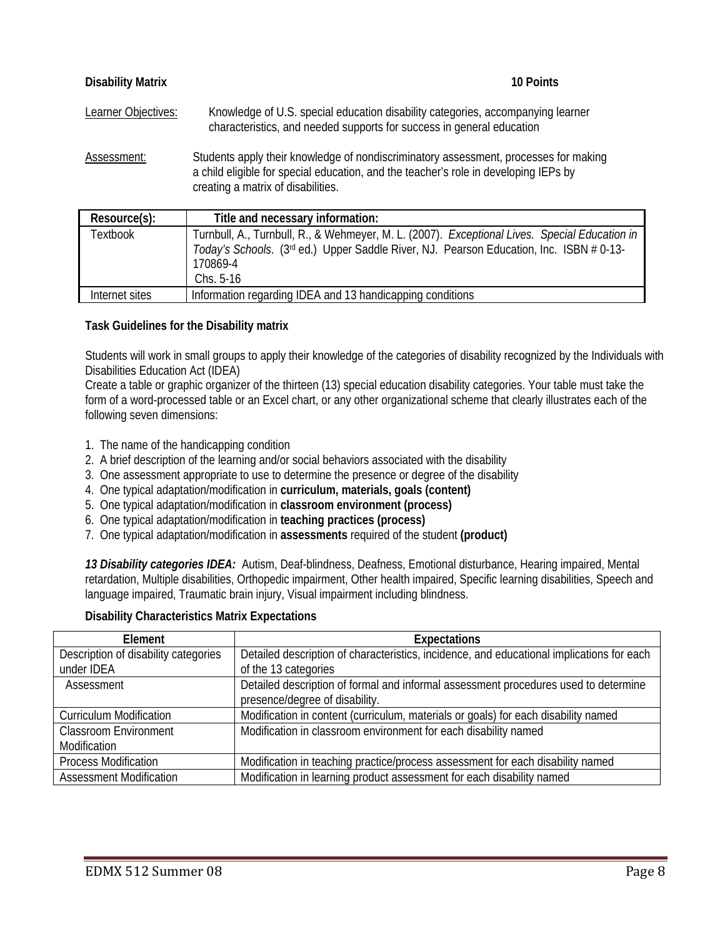| <b>Disability Matrix</b>   | 10 Points                                                                                                                                                                                                          |
|----------------------------|--------------------------------------------------------------------------------------------------------------------------------------------------------------------------------------------------------------------|
| <b>Learner Objectives:</b> | Knowledge of U.S. special education disability categories, accompanying learner<br>characteristics, and needed supports for success in general education                                                           |
| Assessment:                | Students apply their knowledge of nondiscriminatory assessment, processes for making<br>a child eligible for special education, and the teacher's role in developing IEPs by<br>creating a matrix of disabilities. |
| Resource(s):               | Title and necessary information:                                                                                                                                                                                   |
| <b>Textbook</b>            | Turnbull, A., Turnbull, R., & Wehmeyer, M. L. (2007). Exceptional Lives. Special Education in<br>Today's Schools. (3rd ed.) Upper Saddle River, NJ. Pearson Education, Inc. ISBN # 0-13-<br>170869-4               |

## **Task Guidelines for the Disability matrix**

Chs. 5-16

Students will work in small groups to apply their knowledge of the categories of disability recognized by the Individuals with Disabilities Education Act (IDEA)

Create a table or graphic organizer of the thirteen (13) special education disability categories. Your table must take the form of a word-processed table or an Excel chart, or any other organizational scheme that clearly illustrates each of the following seven dimensions:

- 1. The name of the handicapping condition
- 2. A brief description of the learning and/or social behaviors associated with the disability
- 3. One assessment appropriate to use to determine the presence or degree of the disability
- 4. One typical adaptation/modification in **curriculum, materials, goals (content)**

Internet sites Information regarding IDEA and 13 handicapping conditions

- 5. One typical adaptation/modification in **classroom environment (process)**
- 6. One typical adaptation/modification in **teaching practices (process)**
- 7. One typical adaptation/modification in **assessments** required of the student **(product)**

*13 Disability categories IDEA:* Autism, Deaf-blindness, Deafness, Emotional disturbance, Hearing impaired, Mental retardation, Multiple disabilities, Orthopedic impairment, Other health impaired, Specific learning disabilities, Speech and language impaired, Traumatic brain injury, Visual impairment including blindness.

#### **Disability Characteristics Matrix Expectations**

| Element                              | <b>Expectations</b>                                                                       |
|--------------------------------------|-------------------------------------------------------------------------------------------|
| Description of disability categories | Detailed description of characteristics, incidence, and educational implications for each |
| under IDEA                           | of the 13 categories                                                                      |
| Assessment                           | Detailed description of formal and informal assessment procedures used to determine       |
|                                      | presence/degree of disability.                                                            |
| <b>Curriculum Modification</b>       | Modification in content (curriculum, materials or goals) for each disability named        |
| <b>Classroom Environment</b>         | Modification in classroom environment for each disability named                           |
| Modification                         |                                                                                           |
| <b>Process Modification</b>          | Modification in teaching practice/process assessment for each disability named            |
| <b>Assessment Modification</b>       | Modification in learning product assessment for each disability named                     |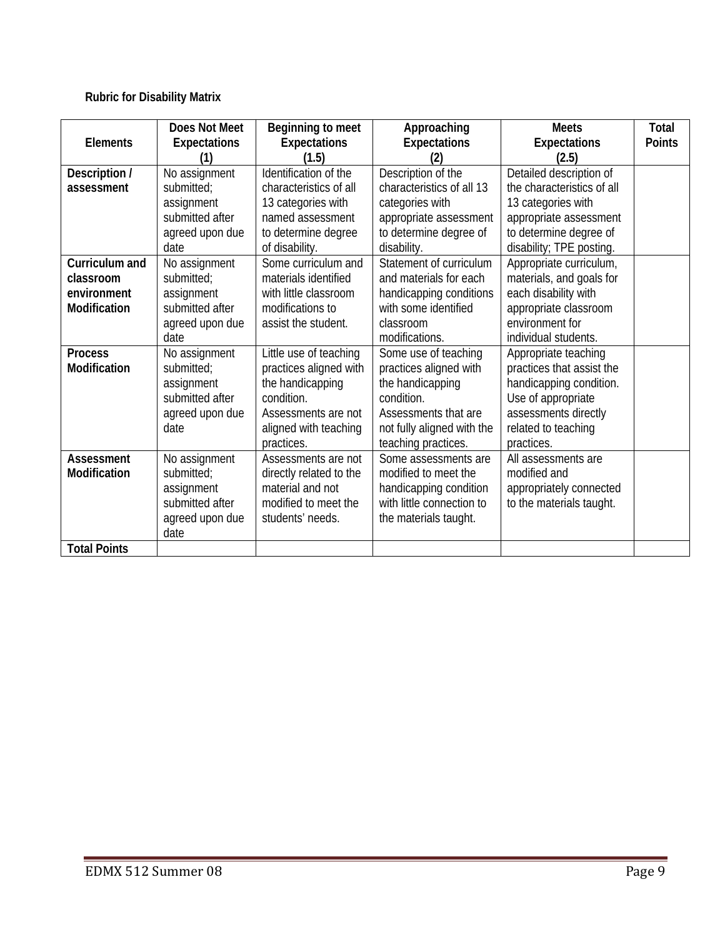# **Rubric for Disability Matrix**

| <b>Elements</b>                                                                                            | <b>Does Not Meet</b><br><b>Expectations</b>                                                                                                             | Beginning to meet<br><b>Expectations</b><br>(1.5)                                                                                                                                                     | Approaching<br><b>Expectations</b>                                                                                                                                                                                      | <b>Meets</b><br><b>Expectations</b><br>(2.5)                                                                                                                                                                                                          | <b>Total</b><br><b>Points</b> |
|------------------------------------------------------------------------------------------------------------|---------------------------------------------------------------------------------------------------------------------------------------------------------|-------------------------------------------------------------------------------------------------------------------------------------------------------------------------------------------------------|-------------------------------------------------------------------------------------------------------------------------------------------------------------------------------------------------------------------------|-------------------------------------------------------------------------------------------------------------------------------------------------------------------------------------------------------------------------------------------------------|-------------------------------|
| Description /<br>assessment                                                                                | No assignment<br>submitted;<br>assignment<br>submitted after<br>agreed upon due<br>date                                                                 | Identification of the<br>characteristics of all<br>13 categories with<br>named assessment<br>to determine degree<br>of disability.                                                                    | Description of the<br>characteristics of all 13<br>categories with<br>appropriate assessment<br>to determine degree of<br>disability.                                                                                   | Detailed description of<br>the characteristics of all<br>13 categories with<br>appropriate assessment<br>to determine degree of<br>disability; TPE posting.                                                                                           |                               |
| Curriculum and<br>classroom<br>environment<br><b>Modification</b><br><b>Process</b><br><b>Modification</b> | No assignment<br>submitted;<br>assignment<br>submitted after<br>agreed upon due<br>date<br>No assignment<br>submitted;<br>assignment<br>submitted after | Some curriculum and<br>materials identified<br>with little classroom<br>modifications to<br>assist the student.<br>Little use of teaching<br>practices aligned with<br>the handicapping<br>condition. | Statement of curriculum<br>and materials for each<br>handicapping conditions<br>with some identified<br>classroom<br>modifications.<br>Some use of teaching<br>practices aligned with<br>the handicapping<br>condition. | Appropriate curriculum,<br>materials, and goals for<br>each disability with<br>appropriate classroom<br>environment for<br>individual students.<br>Appropriate teaching<br>practices that assist the<br>handicapping condition.<br>Use of appropriate |                               |
|                                                                                                            | agreed upon due<br>date                                                                                                                                 | Assessments are not<br>aligned with teaching<br>practices.                                                                                                                                            | Assessments that are<br>not fully aligned with the<br>teaching practices.                                                                                                                                               | assessments directly<br>related to teaching<br>practices.                                                                                                                                                                                             |                               |
| <b>Assessment</b><br>Modification                                                                          | No assignment<br>submitted;<br>assignment<br>submitted after<br>agreed upon due<br>date                                                                 | Assessments are not<br>directly related to the<br>material and not<br>modified to meet the<br>students' needs.                                                                                        | Some assessments are<br>modified to meet the<br>handicapping condition<br>with little connection to<br>the materials taught.                                                                                            | All assessments are<br>modified and<br>appropriately connected<br>to the materials taught.                                                                                                                                                            |                               |
| <b>Total Points</b>                                                                                        |                                                                                                                                                         |                                                                                                                                                                                                       |                                                                                                                                                                                                                         |                                                                                                                                                                                                                                                       |                               |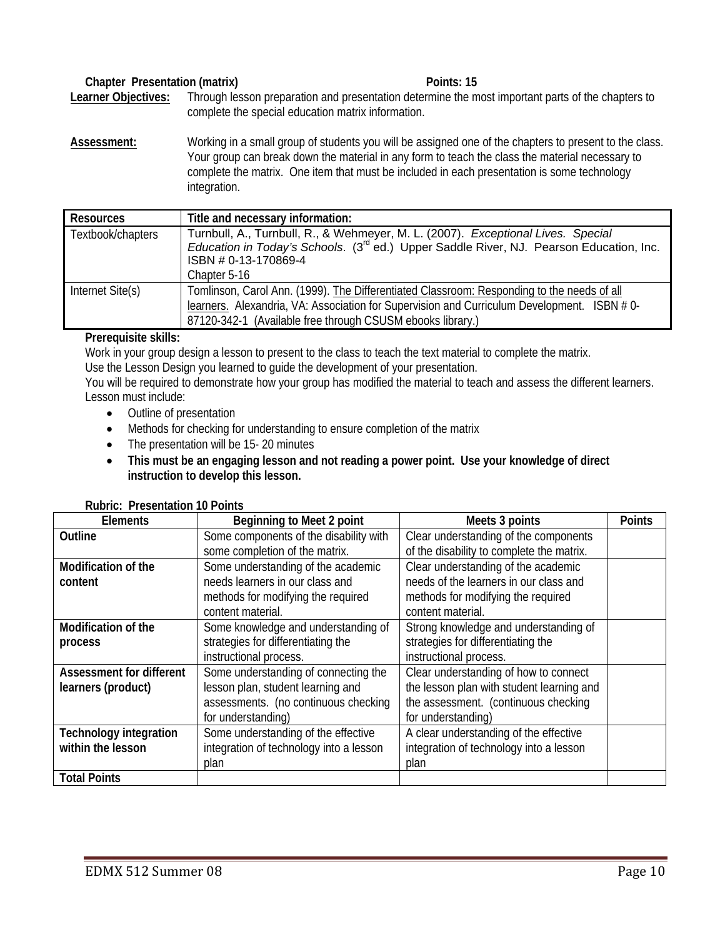#### Chapter Presentation (matrix) **Points: 15**

**Learner Objectives:** Through lesson preparation and presentation determine the most important parts of the chapters to complete the special education matrix information.

**Assessment:** Working in a small group of students you will be assigned one of the chapters to present to the class. Your group can break down the material in any form to teach the class the material necessary to complete the matrix. One item that must be included in each presentation is some technology integration.

| Resources         | Title and necessary information:                                                                                            |
|-------------------|-----------------------------------------------------------------------------------------------------------------------------|
| Textbook/chapters | Turnbull, A., Turnbull, R., & Wehmeyer, M. L. (2007). Exceptional Lives. Special                                            |
|                   | <i>Education in Today's Schools.</i> $(3^{rd}$ ed.) Upper Saddle River, NJ. Pearson Education, Inc.<br>ISBN # 0-13-170869-4 |
|                   |                                                                                                                             |
|                   | Chapter 5-16                                                                                                                |
| Internet Site(s)  | Tomlinson, Carol Ann. (1999). The Differentiated Classroom: Responding to the needs of all                                  |
|                   | learners. Alexandria, VA: Association for Supervision and Curriculum Development. ISBN #0-                                  |
|                   | 87120-342-1 (Available free through CSUSM ebooks library.)                                                                  |

#### **Prerequisite skills:**

Work in your group design a lesson to present to the class to teach the text material to complete the matrix.

Use the Lesson Design you learned to guide the development of your presentation.

You will be required to demonstrate how your group has modified the material to teach and assess the different learners. Lesson must include:

- Outline of presentation
- Methods for checking for understanding to ensure completion of the matrix
- The presentation will be 15-20 minutes
- **This must be an engaging lesson and not reading a power point. Use your knowledge of direct instruction to develop this lesson.**

|  |  | <b>Rubric: Presentation 10 Points</b> |  |
|--|--|---------------------------------------|--|
|--|--|---------------------------------------|--|

| <b>Elements</b>               | Beginning to Meet 2 point               | Meets 3 points                            | <b>Points</b> |
|-------------------------------|-----------------------------------------|-------------------------------------------|---------------|
| Outline                       | Some components of the disability with  | Clear understanding of the components     |               |
|                               | some completion of the matrix.          | of the disability to complete the matrix. |               |
| Modification of the           | Some understanding of the academic      | Clear understanding of the academic       |               |
| content                       | needs learners in our class and         | needs of the learners in our class and    |               |
|                               | methods for modifying the required      | methods for modifying the required        |               |
|                               | content material.                       | content material.                         |               |
| Modification of the           | Some knowledge and understanding of     | Strong knowledge and understanding of     |               |
| process                       | strategies for differentiating the      | strategies for differentiating the        |               |
|                               | instructional process.                  | instructional process.                    |               |
| Assessment for different      | Some understanding of connecting the    | Clear understanding of how to connect     |               |
| learners (product)            | lesson plan, student learning and       | the lesson plan with student learning and |               |
|                               | assessments. (no continuous checking    | the assessment. (continuous checking      |               |
|                               | for understanding)                      | for understanding)                        |               |
| <b>Technology integration</b> | Some understanding of the effective     | A clear understanding of the effective    |               |
| within the lesson             | integration of technology into a lesson | integration of technology into a lesson   |               |
|                               | plan                                    | plan                                      |               |
| <b>Total Points</b>           |                                         |                                           |               |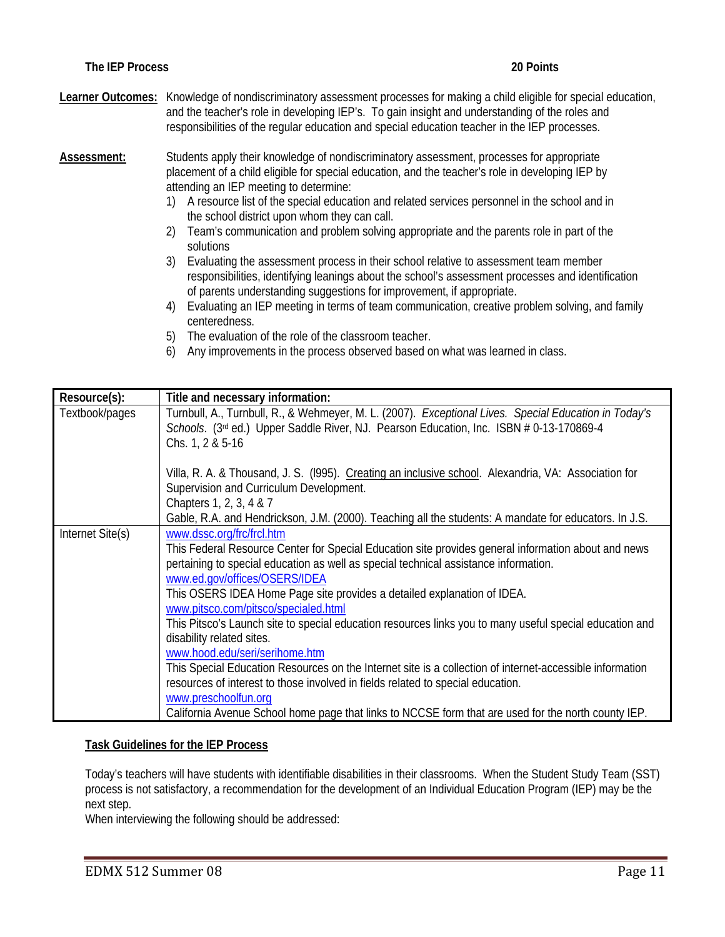**Learner Outcomes:** Knowledge of nondiscriminatory assessment processes for making a child eligible for special education, and the teacher's role in developing IEP's. To gain insight and understanding of the roles and responsibilities of the regular education and special education teacher in the IEP processes.

**Assessment:** Students apply their knowledge of nondiscriminatory assessment, processes for appropriate placement of a child eligible for special education, and the teacher's role in developing IEP by attending an IEP meeting to determine:

- 1) A resource list of the special education and related services personnel in the school and in the school district upon whom they can call.
- 2) Team's communication and problem solving appropriate and the parents role in part of the solutions
- 3) Evaluating the assessment process in their school relative to assessment team member responsibilities, identifying leanings about the school's assessment processes and identification of parents understanding suggestions for improvement, if appropriate.
- 4) Evaluating an IEP meeting in terms of team communication, creative problem solving, and family centeredness.
- 5) The evaluation of the role of the classroom teacher.
- 6) Any improvements in the process observed based on what was learned in class.

| Resource(s):     | Title and necessary information:                                                                                                                                                                                                                                                                                                                                                                                                                                                                                                                                                                                                                                                                                                                                                                                                                                                     |  |  |  |
|------------------|--------------------------------------------------------------------------------------------------------------------------------------------------------------------------------------------------------------------------------------------------------------------------------------------------------------------------------------------------------------------------------------------------------------------------------------------------------------------------------------------------------------------------------------------------------------------------------------------------------------------------------------------------------------------------------------------------------------------------------------------------------------------------------------------------------------------------------------------------------------------------------------|--|--|--|
| Textbook/pages   | Turnbull, A., Turnbull, R., & Wehmeyer, M. L. (2007). Exceptional Lives. Special Education in Today's<br>Schools. (3rd ed.) Upper Saddle River, NJ. Pearson Education, Inc. ISBN # 0-13-170869-4<br>Chs. 1, 2 & 5-16                                                                                                                                                                                                                                                                                                                                                                                                                                                                                                                                                                                                                                                                 |  |  |  |
|                  | Villa, R. A. & Thousand, J. S. (1995). Creating an inclusive school. Alexandria, VA: Association for<br>Supervision and Curriculum Development.<br>Chapters 1, 2, 3, 4 & 7                                                                                                                                                                                                                                                                                                                                                                                                                                                                                                                                                                                                                                                                                                           |  |  |  |
|                  | Gable, R.A. and Hendrickson, J.M. (2000). Teaching all the students: A mandate for educators. In J.S.                                                                                                                                                                                                                                                                                                                                                                                                                                                                                                                                                                                                                                                                                                                                                                                |  |  |  |
| Internet Site(s) | www.dssc.org/frc/frcl.htm<br>This Federal Resource Center for Special Education site provides general information about and news<br>pertaining to special education as well as special technical assistance information.<br>www.ed.gov/offices/OSERS/IDEA<br>This OSERS IDEA Home Page site provides a detailed explanation of IDEA.<br>www.pitsco.com/pitsco/specialed.html<br>This Pitsco's Launch site to special education resources links you to many useful special education and<br>disability related sites.<br>www.hood.edu/seri/serihome.htm<br>This Special Education Resources on the Internet site is a collection of internet-accessible information<br>resources of interest to those involved in fields related to special education.<br>www.preschoolfun.org<br>California Avenue School home page that links to NCCSE form that are used for the north county IEP. |  |  |  |

#### **Task Guidelines for the IEP Process**

Today's teachers will have students with identifiable disabilities in their classrooms. When the Student Study Team (SST) process is not satisfactory, a recommendation for the development of an Individual Education Program (IEP) may be the next step.

When interviewing the following should be addressed: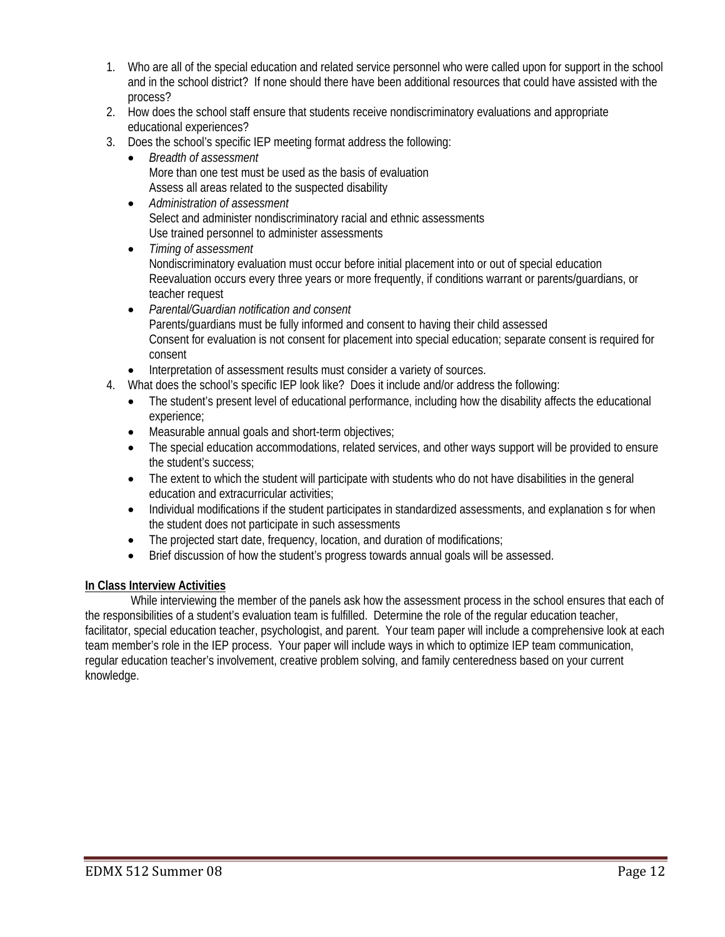- 1. Who are all of the special education and related service personnel who were called upon for support in the school and in the school district? If none should there have been additional resources that could have assisted with the process?
- 2. How does the school staff ensure that students receive nondiscriminatory evaluations and appropriate educational experiences?
- 3. Does the school's specific IEP meeting format address the following:
	- *Breadth of assessment*  More than one test must be used as the basis of evaluation Assess all areas related to the suspected disability
	- *Administration of assessment*  Select and administer nondiscriminatory racial and ethnic assessments Use trained personnel to administer assessments
	- *Timing of assessment*  Nondiscriminatory evaluation must occur before initial placement into or out of special education Reevaluation occurs every three years or more frequently, if conditions warrant or parents/guardians, or teacher request
	- *Parental/Guardian notification and consent*  Parents/guardians must be fully informed and consent to having their child assessed Consent for evaluation is not consent for placement into special education; separate consent is required for consent
	- Interpretation of assessment results must consider a variety of sources.
- 4. What does the school's specific IEP look like? Does it include and/or address the following:
	- The student's present level of educational performance, including how the disability affects the educational experience;
	- Measurable annual goals and short-term objectives;
	- The special education accommodations, related services, and other ways support will be provided to ensure the student's success;
	- The extent to which the student will participate with students who do not have disabilities in the general education and extracurricular activities;
	- Individual modifications if the student participates in standardized assessments, and explanation s for when the student does not participate in such assessments
	- The projected start date, frequency, location, and duration of modifications;
	- Brief discussion of how the student's progress towards annual goals will be assessed.

#### **In Class Interview Activities**

 While interviewing the member of the panels ask how the assessment process in the school ensures that each of the responsibilities of a student's evaluation team is fulfilled. Determine the role of the regular education teacher, facilitator, special education teacher, psychologist, and parent. Your team paper will include a comprehensive look at each team member's role in the IEP process. Your paper will include ways in which to optimize IEP team communication, regular education teacher's involvement, creative problem solving, and family centeredness based on your current knowledge.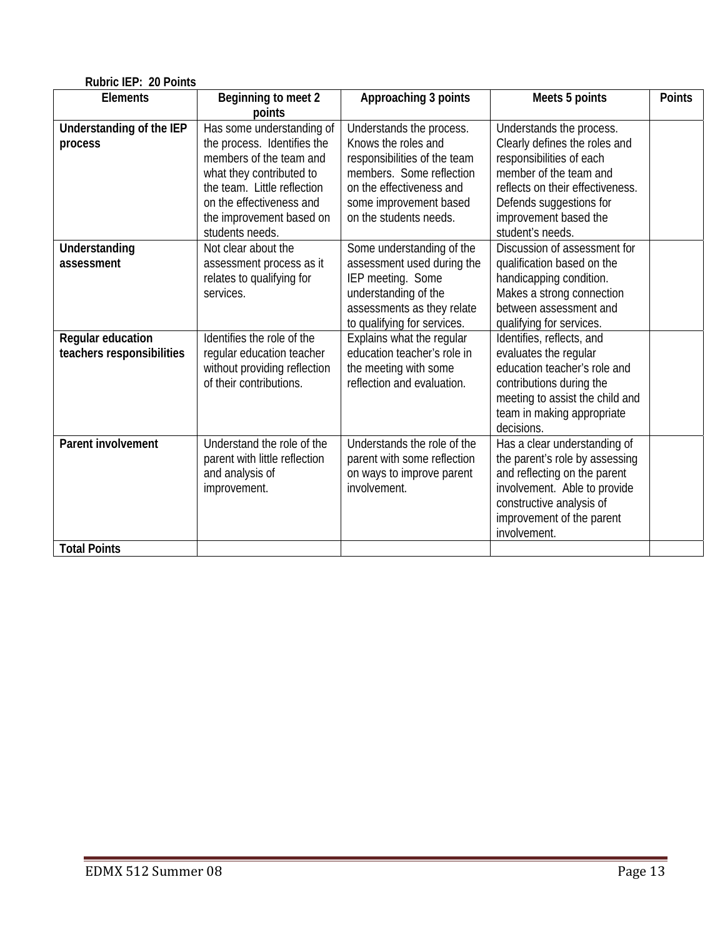| Rubric IEP: 20 Points     |                               |                              |                                  |               |  |
|---------------------------|-------------------------------|------------------------------|----------------------------------|---------------|--|
| <b>Elements</b>           | Beginning to meet 2           | Approaching 3 points         | Meets 5 points                   | <b>Points</b> |  |
|                           | points                        |                              |                                  |               |  |
| Understanding of the IEP  | Has some understanding of     | Understands the process.     | Understands the process.         |               |  |
| process                   | the process. Identifies the   | Knows the roles and          | Clearly defines the roles and    |               |  |
|                           | members of the team and       | responsibilities of the team | responsibilities of each         |               |  |
|                           | what they contributed to      | members. Some reflection     | member of the team and           |               |  |
|                           | the team. Little reflection   | on the effectiveness and     | reflects on their effectiveness. |               |  |
|                           | on the effectiveness and      | some improvement based       | Defends suggestions for          |               |  |
|                           | the improvement based on      | on the students needs.       | improvement based the            |               |  |
|                           | students needs.               |                              | student's needs.                 |               |  |
| Understanding             | Not clear about the           | Some understanding of the    | Discussion of assessment for     |               |  |
| assessment                | assessment process as it      | assessment used during the   | qualification based on the       |               |  |
|                           | relates to qualifying for     | IEP meeting. Some            | handicapping condition.          |               |  |
|                           | services.                     | understanding of the         | Makes a strong connection        |               |  |
|                           |                               | assessments as they relate   | between assessment and           |               |  |
|                           |                               | to qualifying for services.  | qualifying for services.         |               |  |
| Regular education         | Identifies the role of the    | Explains what the regular    | Identifies, reflects, and        |               |  |
| teachers responsibilities | regular education teacher     | education teacher's role in  | evaluates the regular            |               |  |
|                           | without providing reflection  | the meeting with some        | education teacher's role and     |               |  |
|                           | of their contributions.       | reflection and evaluation.   | contributions during the         |               |  |
|                           |                               |                              | meeting to assist the child and  |               |  |
|                           |                               |                              | team in making appropriate       |               |  |
|                           |                               |                              | decisions.                       |               |  |
| Parent involvement        | Understand the role of the    | Understands the role of the  | Has a clear understanding of     |               |  |
|                           | parent with little reflection | parent with some reflection  | the parent's role by assessing   |               |  |
|                           | and analysis of               | on ways to improve parent    | and reflecting on the parent     |               |  |
|                           | improvement.                  | involvement.                 | involvement. Able to provide     |               |  |
|                           |                               |                              | constructive analysis of         |               |  |
|                           |                               |                              | improvement of the parent        |               |  |
|                           |                               |                              | involvement.                     |               |  |
| <b>Total Points</b>       |                               |                              |                                  |               |  |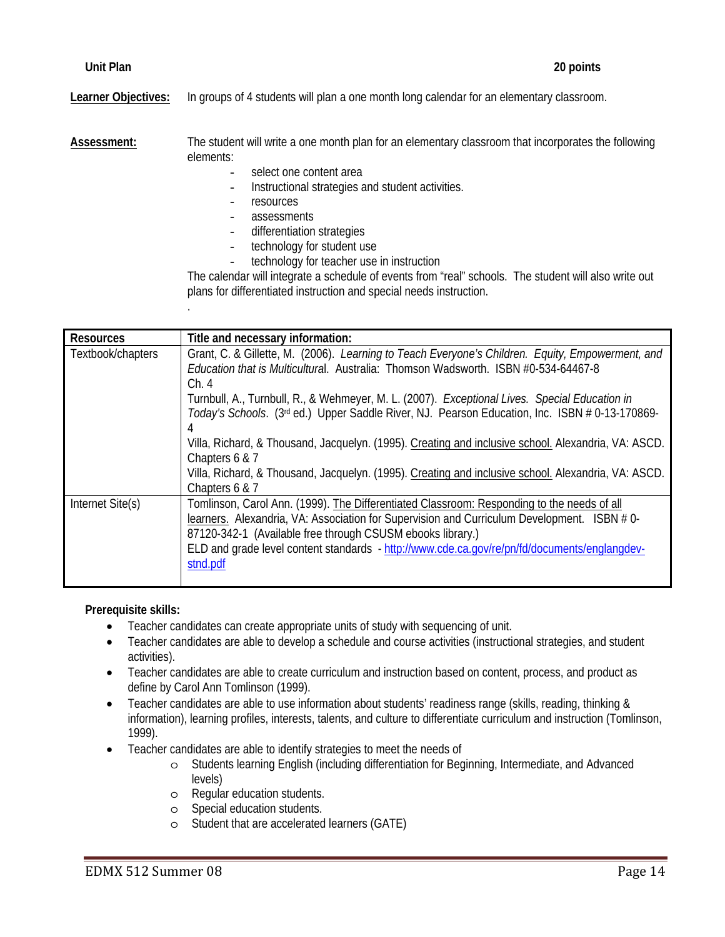**Learner Objectives:** In groups of 4 students will plan a one month long calendar for an elementary classroom.

**Assessment:** The student will write a one month plan for an elementary classroom that incorporates the following elements:

- select one content area
- Instructional strategies and student activities.
- resources

.

- assessments
- differentiation strategies
- technology for student use
- technology for teacher use in instruction

The calendar will integrate a schedule of events from "real" schools. The student will also write out plans for differentiated instruction and special needs instruction.

| <b>Resources</b>                                                                                                                                                                                                 | Title and necessary information:                                                                                                                                                                                                                                                                                                                                    |  |  |  |
|------------------------------------------------------------------------------------------------------------------------------------------------------------------------------------------------------------------|---------------------------------------------------------------------------------------------------------------------------------------------------------------------------------------------------------------------------------------------------------------------------------------------------------------------------------------------------------------------|--|--|--|
| Textbook/chapters                                                                                                                                                                                                | Grant, C. & Gillette, M. (2006). Learning to Teach Everyone's Children. Equity, Empowerment, and<br>Education that is Multicultural. Australia: Thomson Wadsworth. ISBN #0-534-64467-8<br>Ch.4                                                                                                                                                                      |  |  |  |
| Turnbull, A., Turnbull, R., & Wehmeyer, M. L. (2007). Exceptional Lives. Special Education in<br>Today's Schools. (3 <sup>rd</sup> ed.) Upper Saddle River, NJ. Pearson Education, Inc. ISBN # 0-13-170869-<br>4 |                                                                                                                                                                                                                                                                                                                                                                     |  |  |  |
|                                                                                                                                                                                                                  | Villa, Richard, & Thousand, Jacquelyn. (1995). Creating and inclusive school. Alexandria, VA: ASCD.<br>Chapters 6 & 7                                                                                                                                                                                                                                               |  |  |  |
|                                                                                                                                                                                                                  | Villa, Richard, & Thousand, Jacquelyn. (1995). Creating and inclusive school. Alexandria, VA: ASCD.<br>Chapters 6 & 7                                                                                                                                                                                                                                               |  |  |  |
| Internet Site(s)                                                                                                                                                                                                 | Tomlinson, Carol Ann. (1999). The Differentiated Classroom: Responding to the needs of all<br>learners. Alexandria, VA: Association for Supervision and Curriculum Development. ISBN # 0-<br>87120-342-1 (Available free through CSUSM ebooks library.)<br>ELD and grade level content standards - http://www.cde.ca.gov/re/pn/fd/documents/englangdev-<br>stnd.pdf |  |  |  |

**Prerequisite skills:** 

- Teacher candidates can create appropriate units of study with sequencing of unit.
- Teacher candidates are able to develop a schedule and course activities (instructional strategies, and student activities).
- Teacher candidates are able to create curriculum and instruction based on content, process, and product as define by Carol Ann Tomlinson (1999).
- Teacher candidates are able to use information about students' readiness range (skills, reading, thinking & information), learning profiles, interests, talents, and culture to differentiate curriculum and instruction (Tomlinson, 1999).
- Teacher candidates are able to identify strategies to meet the needs of
	- o Students learning English (including differentiation for Beginning, Intermediate, and Advanced levels)
	- o Regular education students.
	- o Special education students.
	- o Student that are accelerated learners (GATE)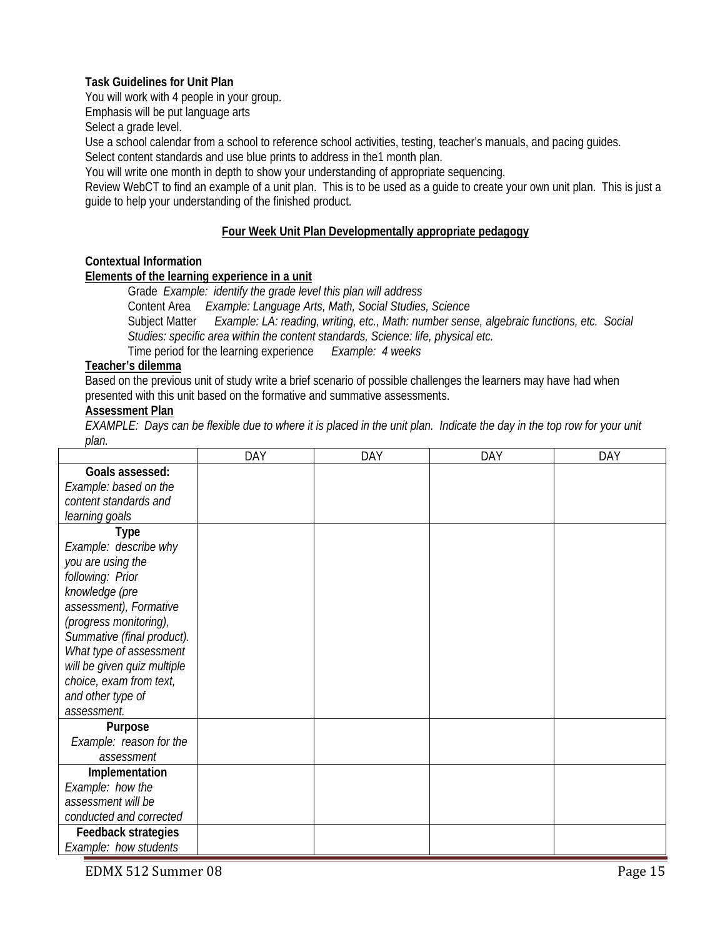#### **Task Guidelines for Unit Plan**

You will work with 4 people in your group.

Emphasis will be put language arts

Select a grade level.

Use a school calendar from a school to reference school activities, testing, teacher's manuals, and pacing guides.

Select content standards and use blue prints to address in the1 month plan.

You will write one month in depth to show your understanding of appropriate sequencing.

Review WebCT to find an example of a unit plan. This is to be used as a guide to create your own unit plan. This is just a guide to help your understanding of the finished product.

#### **Four Week Unit Plan Developmentally appropriate pedagogy**

#### **Contextual Information**

#### **Elements of the learning experience in a unit**

 Grade *Example: identify the grade level this plan will address*  Content Area *Example: Language Arts, Math, Social Studies, Science*  Subject Matter *Example: LA: reading, writing, etc., Math: number sense, algebraic functions, etc. Social Studies: specific area within the content standards, Science: life, physical etc.*

Time period for the learning experience *Example: 4 weeks*

#### **Teacher's dilemma**

Based on the previous unit of study write a brief scenario of possible challenges the learners may have had when presented with this unit based on the formative and summative assessments.

## **Assessment Plan**

*EXAMPLE: Days can be flexible due to where it is placed in the unit plan. Indicate the day in the top row for your unit plan.* 

|                             | DAY | <b>DAY</b> | DAY | <b>DAY</b> |
|-----------------------------|-----|------------|-----|------------|
| Goals assessed:             |     |            |     |            |
| Example: based on the       |     |            |     |            |
| content standards and       |     |            |     |            |
| learning goals              |     |            |     |            |
| <b>Type</b>                 |     |            |     |            |
| Example: describe why       |     |            |     |            |
| you are using the           |     |            |     |            |
| following: Prior            |     |            |     |            |
| knowledge (pre              |     |            |     |            |
| assessment), Formative      |     |            |     |            |
| (progress monitoring),      |     |            |     |            |
| Summative (final product).  |     |            |     |            |
| What type of assessment     |     |            |     |            |
| will be given quiz multiple |     |            |     |            |
| choice, exam from text,     |     |            |     |            |
| and other type of           |     |            |     |            |
| assessment.                 |     |            |     |            |
| Purpose                     |     |            |     |            |
| Example: reason for the     |     |            |     |            |
| assessment                  |     |            |     |            |
| Implementation              |     |            |     |            |
| Example: how the            |     |            |     |            |
| assessment will be          |     |            |     |            |
| conducted and corrected     |     |            |     |            |
| <b>Feedback strategies</b>  |     |            |     |            |
| Example: how students       |     |            |     |            |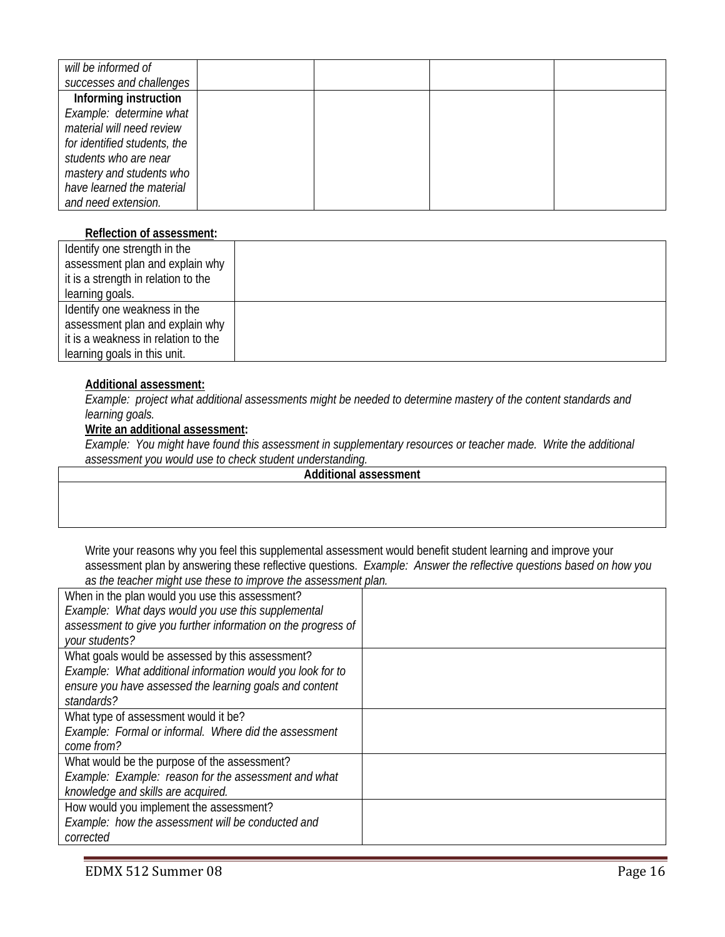| will be informed of          |  |  |
|------------------------------|--|--|
| successes and challenges     |  |  |
| Informing instruction        |  |  |
| Example: determine what      |  |  |
| material will need review    |  |  |
| for identified students, the |  |  |
| students who are near        |  |  |
| mastery and students who     |  |  |
| have learned the material    |  |  |
| and need extension.          |  |  |

#### **Reflection of assessment:**

| Identify one strength in the        |  |
|-------------------------------------|--|
| assessment plan and explain why     |  |
| it is a strength in relation to the |  |
| learning goals.                     |  |
| Identify one weakness in the        |  |
| assessment plan and explain why     |  |
| it is a weakness in relation to the |  |
| learning goals in this unit.        |  |

## **Additional assessment:**

*Example: project what additional assessments might be needed to determine mastery of the content standards and learning goals.*

#### **Write an additional assessment:**

*Example: You might have found this assessment in supplementary resources or teacher made. Write the additional assessment you would use to check student understanding.* 

**Additional assessment** 

Write your reasons why you feel this supplemental assessment would benefit student learning and improve your assessment plan by answering these reflective questions. *Example: Answer the reflective questions based on how you as the teacher might use these to improve the assessment plan.* 

| When in the plan would you use this assessment?               |  |
|---------------------------------------------------------------|--|
| Example: What days would you use this supplemental            |  |
| assessment to give you further information on the progress of |  |
| your students?                                                |  |
| What goals would be assessed by this assessment?              |  |
| Example: What additional information would you look for to    |  |
| ensure you have assessed the learning goals and content       |  |
| standards?                                                    |  |
| What type of assessment would it be?                          |  |
| Example: Formal or informal. Where did the assessment         |  |
| come from?                                                    |  |
| What would be the purpose of the assessment?                  |  |
| Example: Example: reason for the assessment and what          |  |
| knowledge and skills are acquired.                            |  |
| How would you implement the assessment?                       |  |
| Example: how the assessment will be conducted and             |  |
| corrected                                                     |  |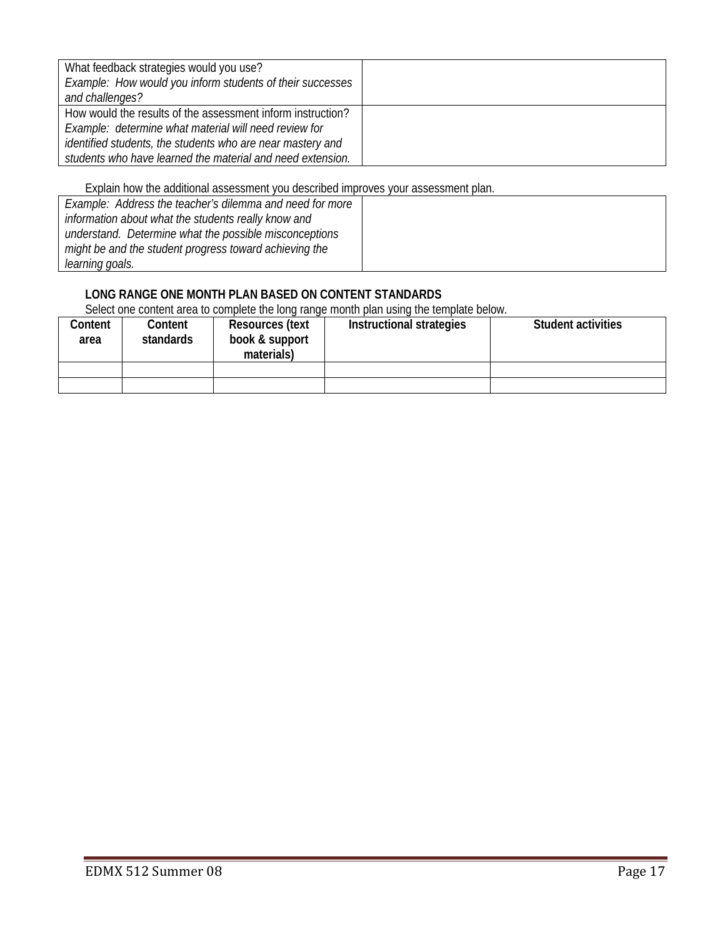| What feedback strategies would you use?<br>Example: How would you inform students of their successes<br>and challenges?                                                                                                                          |  |
|--------------------------------------------------------------------------------------------------------------------------------------------------------------------------------------------------------------------------------------------------|--|
| How would the results of the assessment inform instruction?<br>Example: determine what material will need review for<br>identified students, the students who are near mastery and<br>students who have learned the material and need extension. |  |

Explain how the additional assessment you described improves your assessment plan.

| Example: Address the teacher's dilemma and need for more |  |
|----------------------------------------------------------|--|
| information about what the students really know and      |  |
| understand. Determine what the possible misconceptions   |  |
| might be and the student progress toward achieving the   |  |
| learning goals.                                          |  |

## **LONG RANGE ONE MONTH PLAN BASED ON CONTENT STANDARDS**

Select one content area to complete the long range month plan using the template below.

| Content<br>area | Content<br>standards | <b>Resources (text</b><br>book & support<br>materials) | Instructional strategies | <b>Student activities</b> |
|-----------------|----------------------|--------------------------------------------------------|--------------------------|---------------------------|
|                 |                      |                                                        |                          |                           |
|                 |                      |                                                        |                          |                           |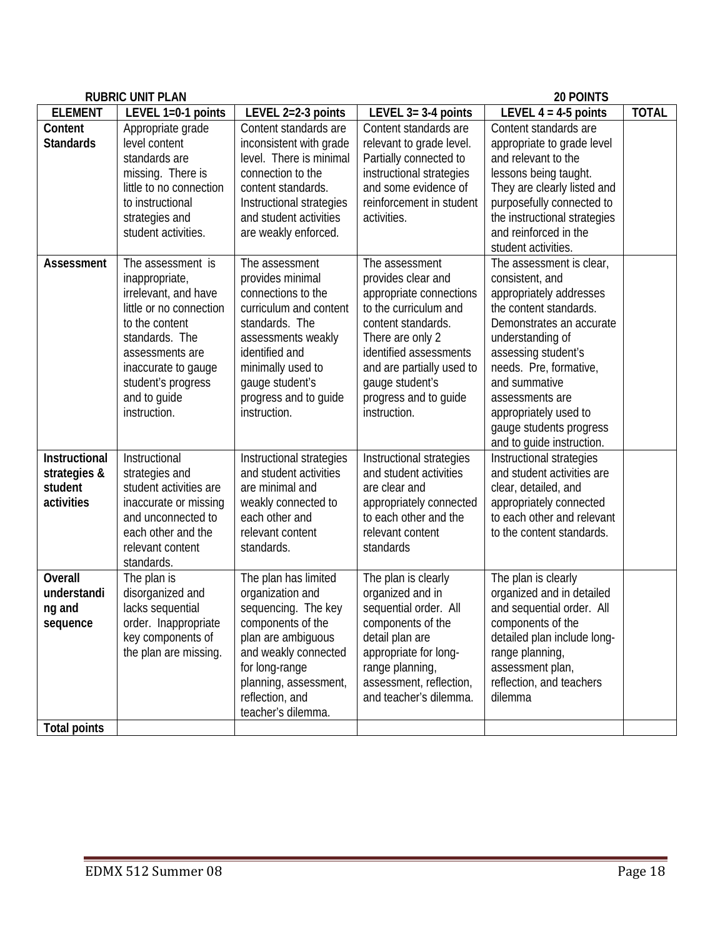| <b>RUBRIC UNIT PLAN</b>                                |                                                                                                                                                                                                                            |                                                                                                                                                                                                                               | <b>20 POINTS</b>                                                                                                                                                                                                                                      |                                                                                                                                                                                                                                                                                                                        |              |
|--------------------------------------------------------|----------------------------------------------------------------------------------------------------------------------------------------------------------------------------------------------------------------------------|-------------------------------------------------------------------------------------------------------------------------------------------------------------------------------------------------------------------------------|-------------------------------------------------------------------------------------------------------------------------------------------------------------------------------------------------------------------------------------------------------|------------------------------------------------------------------------------------------------------------------------------------------------------------------------------------------------------------------------------------------------------------------------------------------------------------------------|--------------|
| <b>ELEMENT</b>                                         | LEVEL 1=0-1 points                                                                                                                                                                                                         | LEVEL 2=2-3 points                                                                                                                                                                                                            | LEVEL $3=3-4$ points                                                                                                                                                                                                                                  | LEVEL $4 = 4.5$ points                                                                                                                                                                                                                                                                                                 | <b>TOTAL</b> |
| Content<br><b>Standards</b>                            | Appropriate grade<br>level content<br>standards are<br>missing. There is<br>little to no connection<br>to instructional<br>strategies and<br>student activities.                                                           | Content standards are<br>inconsistent with grade<br>level. There is minimal<br>connection to the<br>content standards.<br>Instructional strategies<br>and student activities<br>are weakly enforced.                          | Content standards are<br>relevant to grade level.<br>Partially connected to<br>instructional strategies<br>and some evidence of<br>reinforcement in student<br>activities.                                                                            | Content standards are<br>appropriate to grade level<br>and relevant to the<br>lessons being taught.<br>They are clearly listed and<br>purposefully connected to<br>the instructional strategies<br>and reinforced in the<br>student activities.                                                                        |              |
| <b>Assessment</b>                                      | The assessment is<br>inappropriate,<br>irrelevant, and have<br>little or no connection<br>to the content<br>standards. The<br>assessments are<br>inaccurate to gauge<br>student's progress<br>and to guide<br>instruction. | The assessment<br>provides minimal<br>connections to the<br>curriculum and content<br>standards. The<br>assessments weakly<br>identified and<br>minimally used to<br>gauge student's<br>progress and to guide<br>instruction. | The assessment<br>provides clear and<br>appropriate connections<br>to the curriculum and<br>content standards.<br>There are only 2<br>identified assessments<br>and are partially used to<br>gauge student's<br>progress and to guide<br>instruction. | The assessment is clear,<br>consistent, and<br>appropriately addresses<br>the content standards.<br>Demonstrates an accurate<br>understanding of<br>assessing student's<br>needs. Pre, formative,<br>and summative<br>assessments are<br>appropriately used to<br>gauge students progress<br>and to guide instruction. |              |
| Instructional<br>strategies &<br>student<br>activities | Instructional<br>strategies and<br>student activities are<br>inaccurate or missing<br>and unconnected to<br>each other and the<br>relevant content<br>standards.                                                           | Instructional strategies<br>and student activities<br>are minimal and<br>weakly connected to<br>each other and<br>relevant content<br>standards.                                                                              | Instructional strategies<br>and student activities<br>are clear and<br>appropriately connected<br>to each other and the<br>relevant content<br>standards                                                                                              | Instructional strategies<br>and student activities are<br>clear, detailed, and<br>appropriately connected<br>to each other and relevant<br>to the content standards.                                                                                                                                                   |              |
| <b>Overall</b><br>understandi<br>ng and<br>sequence    | The plan is<br>disorganized and<br>lacks sequential<br>order. Inappropriate<br>key components of<br>the plan are missing.                                                                                                  | The plan has limited<br>organization and<br>sequencing. The key<br>components of the<br>plan are ambiguous<br>and weakly connected<br>for long-range<br>planning, assessment,<br>reflection, and<br>teacher's dilemma.        | The plan is clearly<br>organized and in<br>sequential order. All<br>components of the<br>detail plan are<br>appropriate for long-<br>range planning,<br>assessment, reflection,<br>and teacher's dilemma.                                             | The plan is clearly<br>organized and in detailed<br>and sequential order. All<br>components of the<br>detailed plan include long-<br>range planning,<br>assessment plan,<br>reflection, and teachers<br>dilemma                                                                                                        |              |
| <b>Total points</b>                                    |                                                                                                                                                                                                                            |                                                                                                                                                                                                                               |                                                                                                                                                                                                                                                       |                                                                                                                                                                                                                                                                                                                        |              |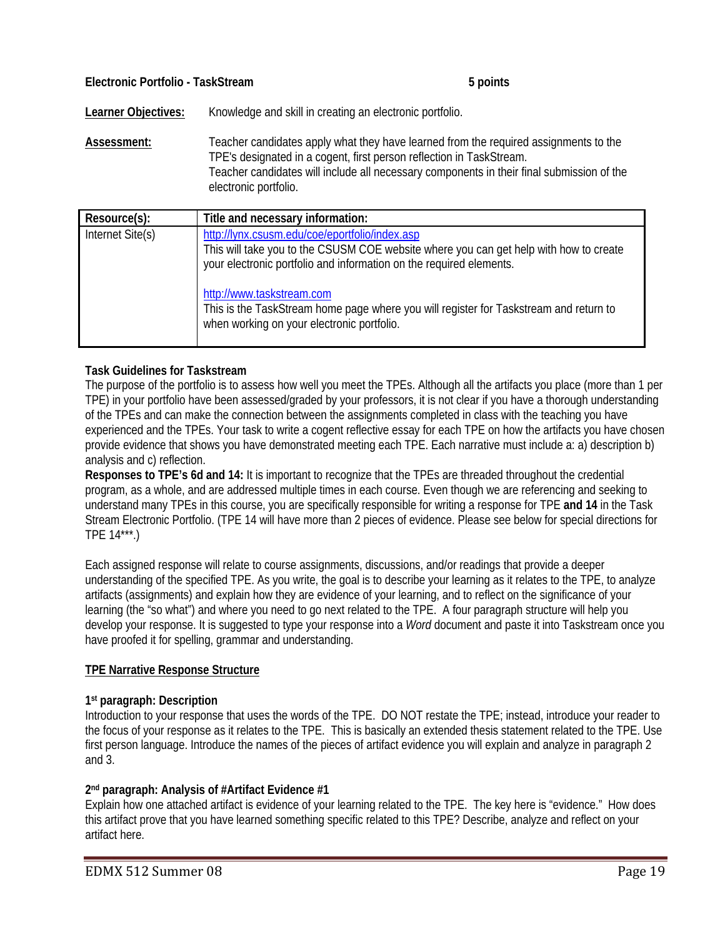| Electronic Portfolio - TaskStream | 5 points |
|-----------------------------------|----------|
|-----------------------------------|----------|

Learner Objectives: Knowledge and skill in creating an electronic portfolio.

**Assessment:** Teacher candidates apply what they have learned from the required assignments to the TPE's designated in a cogent, first person reflection in TaskStream. Teacher candidates will include all necessary components in their final submission of the electronic portfolio.

| Resource(s):     | Title and necessary information:                                                                                                                                                                               |
|------------------|----------------------------------------------------------------------------------------------------------------------------------------------------------------------------------------------------------------|
| Internet Site(s) | http://lynx.csusm.edu/coe/eportfolio/index.asp<br>This will take you to the CSUSM COE website where you can get help with how to create<br>your electronic portfolio and information on the required elements. |
|                  | http://www.taskstream.com<br>This is the TaskStream home page where you will register for Taskstream and return to<br>when working on your electronic portfolio.                                               |

## **Task Guidelines for Taskstream**

The purpose of the portfolio is to assess how well you meet the TPEs. Although all the artifacts you place (more than 1 per TPE) in your portfolio have been assessed/graded by your professors, it is not clear if you have a thorough understanding of the TPEs and can make the connection between the assignments completed in class with the teaching you have experienced and the TPEs. Your task to write a cogent reflective essay for each TPE on how the artifacts you have chosen provide evidence that shows you have demonstrated meeting each TPE. Each narrative must include a: a) description b) analysis and c) reflection.

**Responses to TPE's 6d and 14:** It is important to recognize that the TPEs are threaded throughout the credential program, as a whole, and are addressed multiple times in each course. Even though we are referencing and seeking to understand many TPEs in this course, you are specifically responsible for writing a response for TPE **and 14** in the Task Stream Electronic Portfolio. (TPE 14 will have more than 2 pieces of evidence. Please see below for special directions for TPE 14\*\*\*.)

Each assigned response will relate to course assignments, discussions, and/or readings that provide a deeper understanding of the specified TPE. As you write, the goal is to describe your learning as it relates to the TPE, to analyze artifacts (assignments) and explain how they are evidence of your learning, and to reflect on the significance of your learning (the "so what") and where you need to go next related to the TPE. A four paragraph structure will help you develop your response. It is suggested to type your response into a *Word* document and paste it into Taskstream once you have proofed it for spelling, grammar and understanding.

#### **TPE Narrative Response Structure**

#### **1st paragraph: Description**

Introduction to your response that uses the words of the TPE. DO NOT restate the TPE; instead, introduce your reader to the focus of your response as it relates to the TPE. This is basically an extended thesis statement related to the TPE. Use first person language. Introduce the names of the pieces of artifact evidence you will explain and analyze in paragraph 2 and 3.

## **2nd paragraph: Analysis of #Artifact Evidence #1**

Explain how one attached artifact is evidence of your learning related to the TPE. The key here is "evidence." How does this artifact prove that you have learned something specific related to this TPE? Describe, analyze and reflect on your artifact here.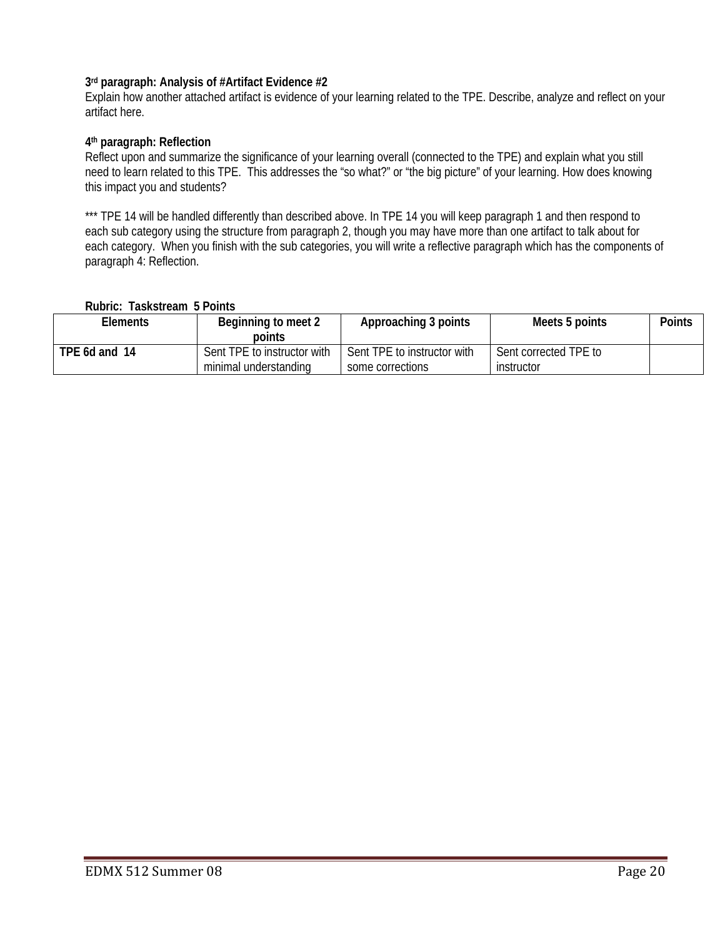### **3rd paragraph: Analysis of #Artifact Evidence #2**

Explain how another attached artifact is evidence of your learning related to the TPE. Describe, analyze and reflect on your artifact here.

#### **4th paragraph: Reflection**

Reflect upon and summarize the significance of your learning overall (connected to the TPE) and explain what you still need to learn related to this TPE. This addresses the "so what?" or "the big picture" of your learning. How does knowing this impact you and students?

\*\*\* TPE 14 will be handled differently than described above. In TPE 14 you will keep paragraph 1 and then respond to each sub category using the structure from paragraph 2, though you may have more than one artifact to talk about for each category. When you finish with the sub categories, you will write a reflective paragraph which has the components of paragraph 4: Reflection.

#### **Rubric: Taskstream 5 Points**

| Elements      | Beginning to meet 2<br>points | Approaching 3 points        | Meets 5 points        | Points |
|---------------|-------------------------------|-----------------------------|-----------------------|--------|
| TPE 6d and 14 | Sent TPE to instructor with   | Sent TPE to instructor with | Sent corrected TPE to |        |
|               | minimal understanding         | some corrections            | instructor            |        |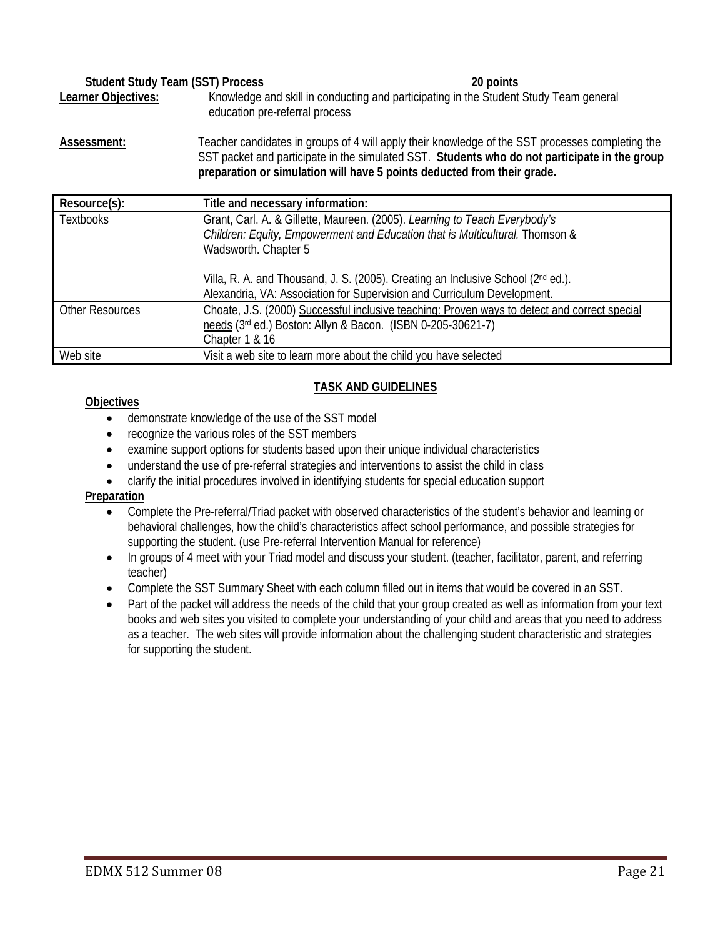| <b>Student Study Team (SST) Process</b>               |  | 20 points                                                                             |  |
|-------------------------------------------------------|--|---------------------------------------------------------------------------------------|--|
| Learner Objectives:<br>education pre-referral process |  | Knowledge and skill in conducting and participating in the Student Study Team general |  |
|                                                       |  |                                                                                       |  |

Assessment: Teacher candidates in groups of 4 will apply their knowledge of the SST processes completing the SST packet and participate in the simulated SST. **Students who do not participate in the group preparation or simulation will have 5 points deducted from their grade.**

| Resource(s):           | Title and necessary information:                                                             |
|------------------------|----------------------------------------------------------------------------------------------|
| <b>Textbooks</b>       | Grant, Carl. A. & Gillette, Maureen. (2005). Learning to Teach Everybody's                   |
|                        | Children: Equity, Empowerment and Education that is Multicultural. Thomson &                 |
|                        | Wadsworth. Chapter 5                                                                         |
|                        | Villa, R. A. and Thousand, J. S. (2005). Creating an Inclusive School (2nd ed.).             |
|                        | Alexandria, VA: Association for Supervision and Curriculum Development.                      |
| <b>Other Resources</b> | Choate, J.S. (2000) Successful inclusive teaching: Proven ways to detect and correct special |
|                        | needs (3rd ed.) Boston: Allyn & Bacon. (ISBN 0-205-30621-7)                                  |
|                        | Chapter 1 & 16                                                                               |
| Web site               | Visit a web site to learn more about the child you have selected                             |

## **TASK AND GUIDELINES**

#### **Objectives**

- demonstrate knowledge of the use of the SST model
- recognize the various roles of the SST members
- examine support options for students based upon their unique individual characteristics
- understand the use of pre-referral strategies and interventions to assist the child in class
- clarify the initial procedures involved in identifying students for special education support

## **Preparation**

- Complete the Pre-referral/Triad packet with observed characteristics of the student's behavior and learning or behavioral challenges, how the child's characteristics affect school performance, and possible strategies for supporting the student. (use Pre-referral Intervention Manual for reference)
- In groups of 4 meet with your Triad model and discuss your student. (teacher, facilitator, parent, and referring teacher)
- Complete the SST Summary Sheet with each column filled out in items that would be covered in an SST.
- Part of the packet will address the needs of the child that your group created as well as information from your text books and web sites you visited to complete your understanding of your child and areas that you need to address as a teacher. The web sites will provide information about the challenging student characteristic and strategies for supporting the student.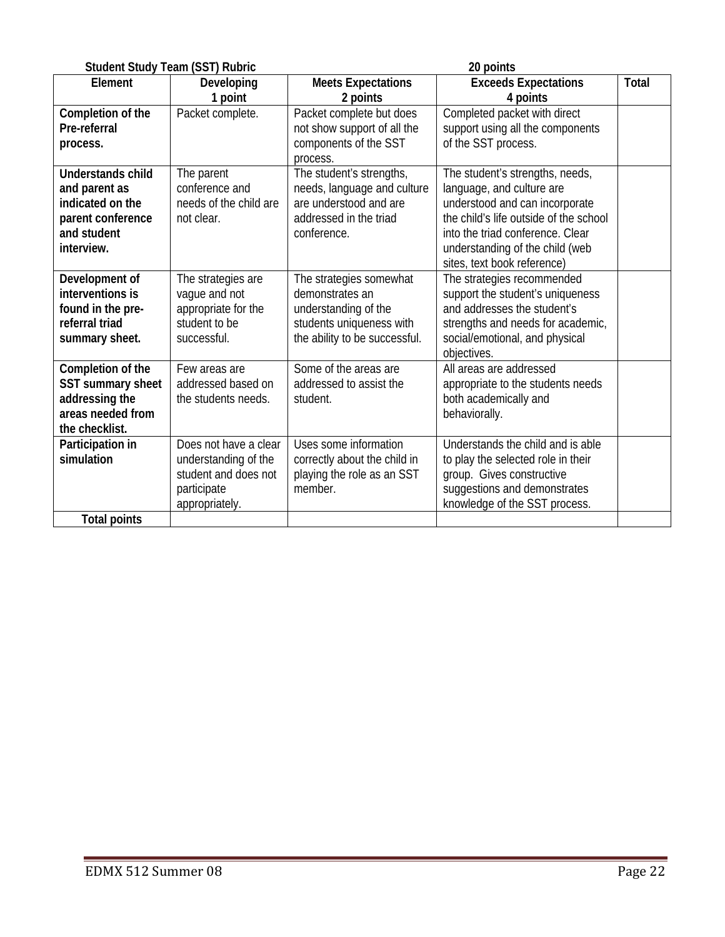|                          | <b>Student Study Team (SST) Rubric</b> | 20 points                     |                                        |       |  |
|--------------------------|----------------------------------------|-------------------------------|----------------------------------------|-------|--|
| Element                  | Developing                             | <b>Meets Expectations</b>     | <b>Exceeds Expectations</b>            | Total |  |
|                          | 1 point                                | 2 points                      | 4 points                               |       |  |
| Completion of the        | Packet complete.                       | Packet complete but does      | Completed packet with direct           |       |  |
| Pre-referral             |                                        | not show support of all the   | support using all the components       |       |  |
| process.                 |                                        | components of the SST         | of the SST process.                    |       |  |
|                          |                                        | process.                      |                                        |       |  |
| <b>Understands child</b> | The parent                             | The student's strengths,      | The student's strengths, needs,        |       |  |
| and parent as            | conference and                         | needs, language and culture   | language, and culture are              |       |  |
| indicated on the         | needs of the child are                 | are understood and are        | understood and can incorporate         |       |  |
| parent conference        | not clear.                             | addressed in the triad        | the child's life outside of the school |       |  |
| and student              |                                        | conference.                   | into the triad conference. Clear       |       |  |
| interview.               |                                        |                               | understanding of the child (web        |       |  |
|                          |                                        |                               | sites, text book reference)            |       |  |
| Development of           | The strategies are                     | The strategies somewhat       | The strategies recommended             |       |  |
| interventions is         | vague and not                          | demonstrates an               | support the student's uniqueness       |       |  |
| found in the pre-        | appropriate for the                    | understanding of the          | and addresses the student's            |       |  |
| referral triad           | student to be                          | students uniqueness with      | strengths and needs for academic,      |       |  |
| summary sheet.           | successful.                            | the ability to be successful. | social/emotional, and physical         |       |  |
|                          |                                        |                               | objectives.                            |       |  |
| Completion of the        | Few areas are                          | Some of the areas are         | All areas are addressed                |       |  |
| SST summary sheet        | addressed based on                     | addressed to assist the       | appropriate to the students needs      |       |  |
| addressing the           | the students needs.                    | student.                      | both academically and                  |       |  |
| areas needed from        |                                        |                               | behaviorally.                          |       |  |
| the checklist.           |                                        |                               |                                        |       |  |
| Participation in         | Does not have a clear                  | Uses some information         | Understands the child and is able      |       |  |
| simulation               | understanding of the                   | correctly about the child in  | to play the selected role in their     |       |  |
|                          | student and does not                   | playing the role as an SST    | group. Gives constructive              |       |  |
|                          | participate                            | member.                       | suggestions and demonstrates           |       |  |
|                          | appropriately.                         |                               | knowledge of the SST process.          |       |  |
| <b>Total points</b>      |                                        |                               |                                        |       |  |